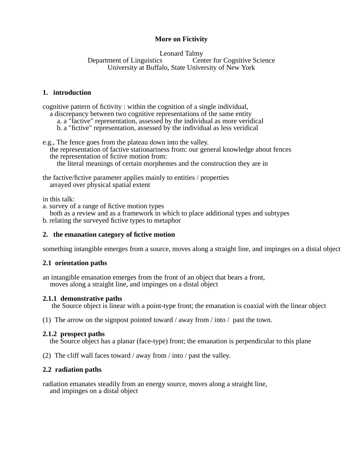# **More on Fictivity**

### Leonard Talmy<br>Department of Linguistics Cen Center for Cognitive Science University at Buffalo, State University of New York

## **1. introduction**

cognitive pattern of fictivity : within the cognition of a single individual,

- a discrepancy between two cognitive representations of the same entity
	- a. a "factive" representation, assessed by the individual as more veridical
	- b. a "fictive" representation, assessed by the individual as less veridical

e.g., The fence goes from the plateau down into the valley.

the representation of factive stationariness from: our general knowledge about fences the representation of fictive motion from:

the literal meanings of certain morphemes and the construction they are in

the factive/fictive parameter applies mainly to entities / properties arrayed over physical spatial extent

in this talk:

- a. survey of a range of fictive motion types
- both as a review and as a framework in which to place additional types and subtypes

b. relating the surveyed fictive types to metaphor

# **2. the emanation category of fictive motion**

something intangible emerges from a source, moves along a straight line, and impinges on a distal object

## **2.1 orientation paths**

an intangible emanation emerges from the front of an object that bears a front, moves along a straight line, and impinges on a distal object

# **2.1.1 demonstrative paths**

the Source object is linear with a point-type front; the emanation is coaxial with the linear object

(1) The arrow on the signpost pointed toward / away from / into / past the town.

# **2.1.2 prospect paths**

the Source object has a planar (face-type) front; the emanation is perpendicular to this plane

(2) The cliff wall faces toward / away from / into / past the valley.

# **2.2 radiation paths**

radiation emanates steadily from an energy source, moves along a straight line, and impinges on a distal object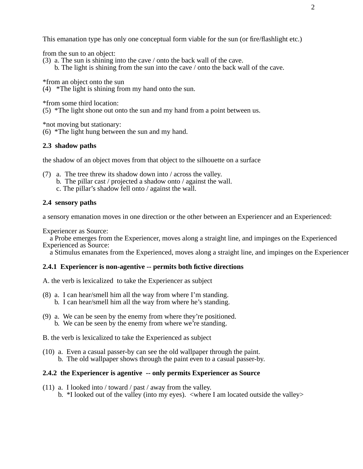This emanation type has only one conceptual form viable for the sun (or fire/flashlight etc.)

from the sun to an object:

(3) a. The sun is shining into the cave / onto the back wall of the cave.

b. The light is shining from the sun into the cave / onto the back wall of the cave.

\*from an object onto the sun

(4) \*The light is shining from my hand onto the sun.

\*from some third location:

(5) \*The light shone out onto the sun and my hand from a point between us.

\*not moving but stationary:

(6) \*The light hung between the sun and my hand.

## **2.3 shadow paths**

the shadow of an object moves from that object to the silhouette on a surface

- (7) a. The tree threw its shadow down into / across the valley. b. The pillar cast / projected a shadow onto / against the wall.
	- c. The pillar's shadow fell onto / against the wall.

## **2.4 sensory paths**

a sensory emanation moves in one direction or the other between an Experiencer and an Experienced:

Experiencer as Source:

a Probe emerges from the Experiencer, moves along a straight line, and impinges on the Experienced Experienced as Source:

a Stimulus emanates from the Experienced, moves along a straight line, and impinges on the Experiencer

### **2.4.1 Experiencer is non-agentive -- permits both fictive directions**

- A. the verb is lexicalized to take the Experiencer as subject
- (8) a. I can hear/smell him all the way from where I'm standing.
	- b. I can hear/smell him all the way from where he's standing.
- (9) a. We can be seen by the enemy from where they're positioned. b. We can be seen by the enemy from where we're standing.
- B. the verb is lexicalized to take the Experienced as subject
- (10) a. Even a casual passer-by can see the old wallpaper through the paint. b. The old wallpaper shows through the paint even to a casual passer-by.

### **2.4.2 the Experiencer is agentive -- only permits Experiencer as Source**

(11) a. I looked into / toward / past / away from the valley. b.  $*I$  looked out of the valley (into my eyes).  $\lt$ where I am located outside the valley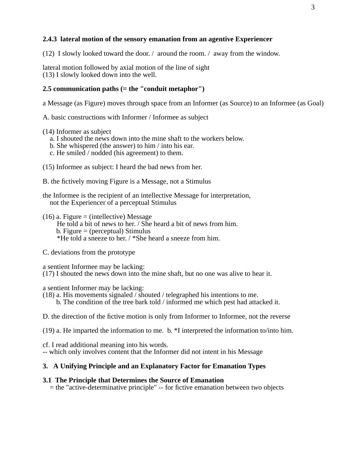## **2.4.3 lateral motion of the sensory emanation from an agentive Experiencer**

(12) I slowly looked toward the door.  $\ell$  around the room.  $\ell$  away from the window.

lateral motion followed by axial motion of the line of sight (13) I slowly looked down into the well.

## **2.5 communication paths (= the "conduit metaphor")**

a Message (as Figure) moves through space from an Informer (as Source) to an Informee (as Goal)

A. basic constructions with Informer / Informee as subject

(14) Informer as subject

- a. I shouted the news down into the mine shaft to the workers below.
- b. She whispered (the answer) to him / into his ear.
- c. He smiled / nodded (his agreement) to them.
- (15) Informee as subject: I heard the bad news from her.
- B. the fictively moving Figure is a Message, not a Stimulus

the Informee is the recipient of an intellective Message for interpretation, not the Experiencer of a perceptual Stimulus

 $(16)$  a. Figure = (intellective) Message

He told a bit of news to her./She heard a bit of news from him.

- $b.$  Figure = (perceptual) Stimulus
- \*He told a sneeze to her./\*She heard a sneeze from him.
- C. deviations from the prototype

a sentient Informee may be lacking:

(17) I shouted the news down into the mine shaft, but no one was alive to hear it.

a sentient Informer may be lacking:

(18) a. His movements signaled / shouted / telegraphed his intentions to me. b. The condition of the tree bark told / informed me which pest had attacked it.

D. the direction of the fictive motion is only from Informer to Informee, not the reverse

(19) a. He imparted the information to me. b. \*I interpreted the information to/into him.

cf. I read additional meaning into his words. -- which only involves content that the Informer did not intent in his Message

## **3. A Unifying Principle and an Explanatory Factor for Emanation Types**

### **3.1 The Principle that Determines the Source of Emanation**

= the "active-determinative principle" -- for fictive emanation between two objects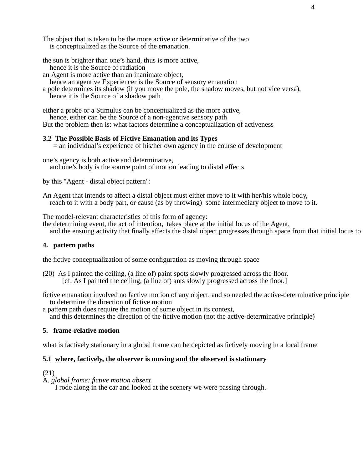The object that is taken to be the more active or determinative of the two is conceptualized as the Source of the emanation.

the sun is brighter than one's hand, thus is more active,

hence it is the Source of radiation

an Agent is more active than an inanimate object,

hence an agentive Experiencer is the Source of sensory emanation

a pole determines its shadow (if you move the pole, the shadow moves, but not vice versa), hence it is the Source of a shadow path

either a probe or a Stimulus can be conceptualized as the more active,

hence, either can be the Source of a non-agentive sensory path

But the problem then is: what factors determine a conceptualization of activeness

### **3.2 The Possible Basis of Fictive Emanation and its Types**

 $=$  an individual's experience of his/her own agency in the course of development

one's agency is both active and determinative, and one's body is the source point of motion leading to distal effects

by this "Agent - distal object pattern":

An Agent that intends to affect a distal object must either move to it with her/his whole body, reach to it with a body part, or cause (as by throwing) some intermediary object to move to it.

The model-relevant characteristics of this form of agency:

the determining event, the act of intention, takes place at the initial locus of the Agent, and the ensuing activity that finally affects the distal object progresses through space from that initial locus to

#### **4. pattern paths**

the fictive conceptualization of some configuration as moving through space

(20) As I painted the ceiling, (a line of) paint spots slowly progressed across the floor. [cf. As I painted the ceiling, (a line of) ants slowly progressed across the floor.]

fictive emanation involved no factive motion of any object, and so needed the active-determinative principle to determine the direction of fictive motion

a pattern path does require the motion of some object in its context,

and this determines the direction of the fictive motion (not the active-determinative principle)

### **5. frame-relative motion**

what is factively stationary in a global frame can be depicted as fictively moving in a local frame

### **5.1 where, factively, the observer is moving and the observed is stationary**

#### (21)

A. *global frame: fictive motion absent*

I rode along in the car and looked at the scenery we were passing through.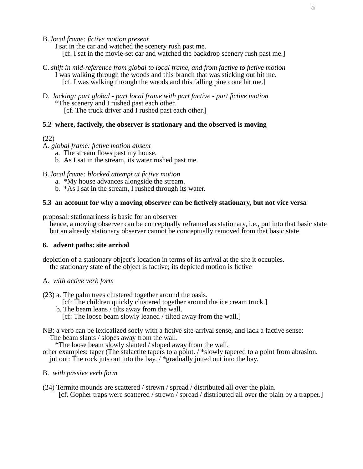B. *local frame: fictive motion present*

I sat in the car and watched the scenery rush past me. [cf. I sat in the movie-set car and watched the backdrop scenery rush past me.]

- C. *shift in mid-reference from global to local frame, and from factive to fictive motion* I was walking through the woods and this branch that was sticking out hit me. [cf. I was walking through the woods and this falling pine cone hit me.]
- D. *lacking: part global part local frame with part factive part fictive motion* \*The scenery and I rushed past each other. [cf. The truck driver and I rushed past each other.]

### **5.2 where, factively, the observer is stationary and the observed is moving**

#### (22)

- A. *global frame: fictive motion absent*
	- a. The stream flows past my house.
	- b. As I sat in the stream, its water rushed past me.
- B. *local frame: blocked attempt at fictive motion*
	- a. \*My house advances alongside the stream.
	- b. \*As I sat in the stream, I rushed through its water.

### **5.3 an account for whyamoving observer can be fictively stationary, but not vice versa**

proposal: stationariness is basic for an observer

hence, a moving observer can be conceptually reframed as stationary, i.e., put into that basic state but an already stationary observer cannot be conceptually removed from that basic state

#### **6. advent paths: site arrival**

depiction of a stationary object's location in terms of its arrival at the site it occupies. the stationary state of the object is factive; its depicted motion is fictive

### A. *with active verb form*

(23) a. The palm trees clustered together around the oasis.

- [cf: The children quickly clustered together around the ice cream truck.]
- b. The beam leans / tilts away from the wall.
	- [cf: The loose beam slowly leaned / tilted away from the wall.]
- NB: a verb can be lexicalized soely with a fictive site-arrival sense, and lack a factive sense: The beam slants / slopes away from the wall.

\*The loose beam slowly slanted / sloped away from the wall.

- other examples: taper (The stalactite tapers to a point. / \*slowly tapered to a point from abrasion. jut out: The rock juts out into the bay./\*gradually jutted out into the bay.
- B. *with passive verb form*
- (24) Termite mounds are scattered / strewn / spread / distributed all over the plain. [cf. Gopher traps were scattered / strewn / spread / distributed all over the plain by a trapper.]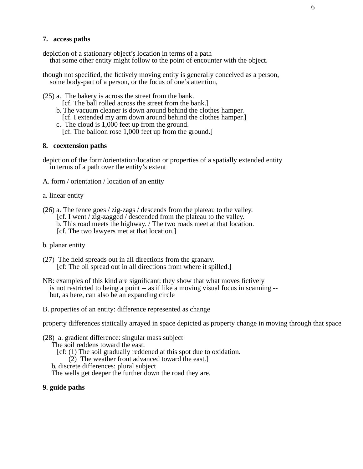### **7. access paths**

depiction of a stationary object's location in terms of a path that some other entity might follow to the point of encounter with the object.

though not specified, the fictively moving entity is generally conceived as a person, some body-part of a person, or the focus of one's attention,

(25) a. The bakery is across the street from the bank.

[cf. The ball rolled across the street from the bank.]

- b. The vacuum cleaner is down around behind the clothes hamper.
- [cf. I extended my arm down around behind the clothes hamper.]
- c. The cloud is 1,000 feet up from the ground. [cf. The balloon rose 1,000 feet up from the ground.]

#### **8. coextension paths**

depiction of the form/orientation/location or properties of a spatially extended entity in terms of a path over the entity's extent

A. form / orientation / location of an entity

a. linear entity

(26) a. The fence goes / zig-zags / descends from the plateau to the valley. [cf. I went / zig-zagged / descended from the plateau to the valley. b. This road meets the highway./The two roads meet at that location. [cf. The two lawyers met at that location.]

b. planar entity

- (27) The field spreads out in all directions from the granary. [cf: The oil spread out in all directions from where it spilled.]
- NB: examples of this kind are significant: they show that what moves fictively is not restricted to being a point -- as if like a moving visual focus in scanning -but, as here, can also be an expanding circle
- B. properties of an entity: difference represented as change

property differences statically arrayed in space depicted as property change in moving through that space

(28) a. gradient difference: singular mass subject

The soil reddens toward the east.

[cf: (1) The soil gradually reddened at this spot due to oxidation.

(2) The weather front advanced toward the east.]

b. discrete differences: plural subject

The wells get deeper the further down the road they are.

### **9. guide paths**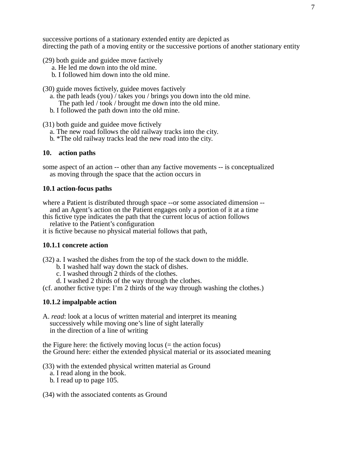successive portions of a stationary extended entity are depicted as directing the path of a moving entity or the successive portions of another stationary entity

- (29) both guide and guidee move factively
	- a. He led me down into the old mine.
	- b. I followed him down into the old mine.
- (30) guide moves fictively, guidee moves factively
	- a. the path leads (you) / takes you / brings you down into the old mine.
		- The path led / took / brought me down into the old mine.
	- b. I followed the path down into the old mine.
- (31) both guide and guidee move fictively
	- a. The new road follows the old railway tracks into the city.
	- b. \*The old railway tracks lead the new road into the city.

### **10. action paths**

some aspect of an action -- other than any factive movements -- is conceptualized as moving through the space that the action occurs in

### **10.1 action-focus paths**

- where a Patient is distributed through space --or some associated dimension and an Agent's action on the Patient engages only a portion of it at a time
- this fictive type indicates the path that the current locus of action follows relative to the Patient's configuration
- it is fictive because no physical material follows that path,

#### **10.1.1 concrete action**

- (32) a. I washed the dishes from the top of the stack down to the middle.
	- b. I washed half way down the stack of dishes.
	- c. I washed through 2 thirds of the clothes.
	- d. I washed 2 thirds of the way through the clothes.

(cf. another fictive type: I'm 2 thirds of the way through washing the clothes.)

#### **10.1.2 impalpable action**

A. *read*: look at a locus of written material and interpret its meaning successively while moving one's line of sight laterally in the direction of a line of writing

the Figure here: the fictively moving locus  $($  = the action focus) the Ground here: either the extended physical material or its associated meaning

- (33) with the extended physical written material as Ground
	- a. I read along in the book.
	- b. I read up to page 105.
- (34) with the associated contents as Ground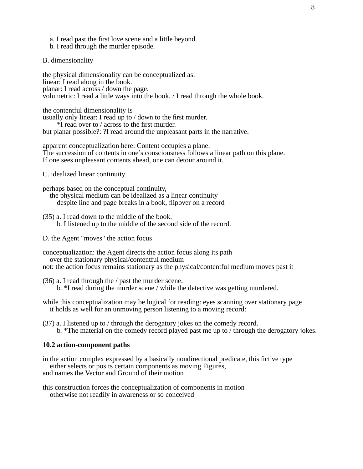- a. I read past the first love scene and a little beyond.
- b. I read through the murder episode.
- B. dimensionality

the physical dimensionality can be conceptualized as: linear: I read along in the book. planar: I read across / down the page. volumetric: I read a little ways into the book. / I read through the whole book.

the contentful dimensionality is

usually only linear: I read up to / down to the first murder. \*I read over to / across to the first murder.

but planar possible?: ?I read around the unpleasant parts in the narrative.

apparent conceptualization here: Content occupies a plane. The succession of contents in one's consciousness follows a linear path on this plane. If one sees unpleasant contents ahead, one can detour around it.

C. idealized linear continuity

perhaps based on the conceptual continuity,

the physical medium can be idealized as a linear continuity despite line and page breaks in a book, flipover on a record

- (35) a. I read down to the middle of the book. b. I listened up to the middle of the second side of the record.
- D. the Agent "moves" the action focus

conceptualization: the Agent directs the action focus along its path over the stationary physical/contentful medium not: the action focus remains stationary as the physical/contentful medium moves past it

- (36) a. I read through the / past the murder scene. b. \*I read during the murder scene / while the detective was getting murdered.
- while this conceptualization may be logical for reading: eyes scanning over stationary page it holds as well for an unmoving person listening to a moving record:
- (37) a. I listened up to / through the derogatory jokes on the comedy record. b. \*The material on the comedy record played past me up to / through the derogatory jokes.

#### **10.2 action-component paths**

in the action complex expressed by a basically nondirectional predicate, this fictive type either selects or posits certain components as moving Figures, and names the Vector and Ground of their motion

this construction forces the conceptualization of components in motion otherwise not readily in awareness or so conceived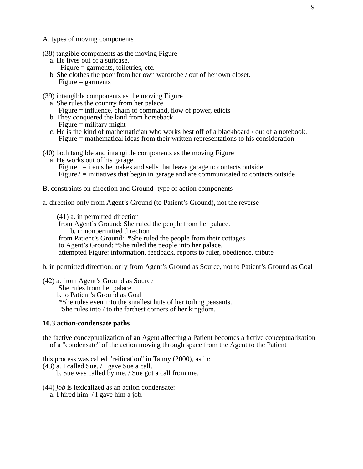- A. types of moving components
- (38) tangible components as the moving Figure
	- a. He lives out of a suitcase.
		- Figure = garments, toiletries, etc.
	- b. She clothes the poor from her own wardrobe / out of her own closet.  $Figure = \frac{1}{2}$
- (39) intangible components as the moving Figure
	- a. She rules the country from her palace.
		- Figure = influence, chain of command, flow of power, edicts
	- b. They conquered the land from horseback.
	- $Figure =$  military might
	- c. He is the kind of mathematician who works best off of a blackboard / out of a notebook. Figure = mathematical ideas from their written representations to his consideration
- (40) both tangible and intangible components as the moving Figure
	- a. He works out of his garage. Figure  $1 =$  items he makes and sells that leave garage to contacts outside Figure2 = initiatives that begin in garage and are communicated to contacts outside
- B. constraints on direction and Ground -type of action components
- a. direction only from Agent's Ground (to Patient's Ground), not the reverse

(41) a. in permitted direction from Agent's Ground: She ruled the people from her palace. b. in nonpermitted direction from Patient's Ground: \*She ruled the people from their cottages. to Agent's Ground: \*She ruled the people into her palace. attempted Figure: information, feedback, reports to ruler, obedience, tribute

b. in permitted direction: only from Agent's Ground as Source, not to Patient's Ground as Goal

(42) a. from Agent's Ground as Source She rules from her palace. b. to Patient's Ground as Goal \*She rules even into the smallest huts of her toiling peasants. ?She rules into / to the farthest corners of her kingdom.

#### **10.3 action-condensate paths**

the factive conceptualization of an Agent affecting a Patient becomes a fictive conceptualization of a "condensate" of the action moving through space from the Agent to the Patient

this process was called "reification" in Talmy (2000), as in:

 $(43)$  a. I called Sue. / I gave Sue a call.

b. Sue was called by me. / Sue got a call from me.

- (44) *job* is lexicalized as an action condensate:
	- a. I hired him.  $\overline{I}$  gave him a job.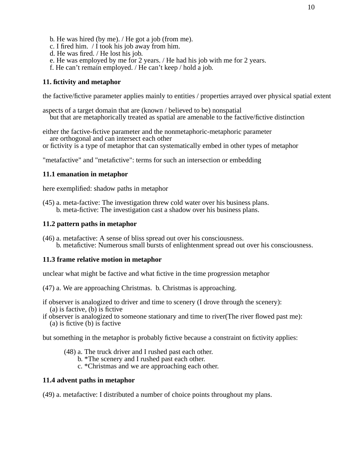- b. He was hired (by me). / He got a job (from me).
- c. I fired him.  $\overline{I}$  took his job away from him.
- d. He was fired. / He lost his job.
- e. He was employed by me for 2 years. / He had his job with me for 2 years.
- f. He can't remain employed. / He can't keep / hold a job.

## **11. fictivity and metaphor**

the factive/fictive parameter applies mainly to entities / properties arrayed over physical spatial extent

aspects of a target domain that are (known / believed to be) nonspatial but that are metaphorically treated as spatial are amenable to the factive/fictive distinction

either the factive-fictive parameter and the nonmetaphoric-metaphoric parameter are orthogonal and can intersect each other

or fictivity is a type of metaphor that can systematically embed in other types of metaphor

"metafactive" and "metafictive": terms for such an intersection or embedding

### **11.1 emanation in metaphor**

here exemplified: shadow paths in metaphor

(45) a. meta-factive: The investigation threw cold water over his business plans. b. meta-fictive: The investigation cast a shadow over his business plans.

## **11.2 pattern paths in metaphor**

(46) a. metafactive: A sense of bliss spread out over his consciousness. b. metafictive: Numerous small bursts of enlightenment spread out over his consciousness.

## **11.3 frame relative motion in metaphor**

unclear what might be factive and what fictive in the time progression metaphor

(47) a. We are approaching Christmas. b. Christmas is approaching.

if observer is analogized to driver and time to scenery (I drove through the scenery): (a) is factive, (b) is fictive

if observer is analogized to someone stationary and time to river(The river flowed past me):

(a) is fictive (b) is factive

but something in the metaphor is probably fictive because a constraint on fictivity applies:

- (48) a. The truck driver and I rushed past each other.
	- b. \*The scenery and I rushed past each other.
	- c. \*Christmas and we are approaching each other.

## **11.4 advent paths in metaphor**

(49) a. metafactive:Idistributed a number of choice points throughout my plans.